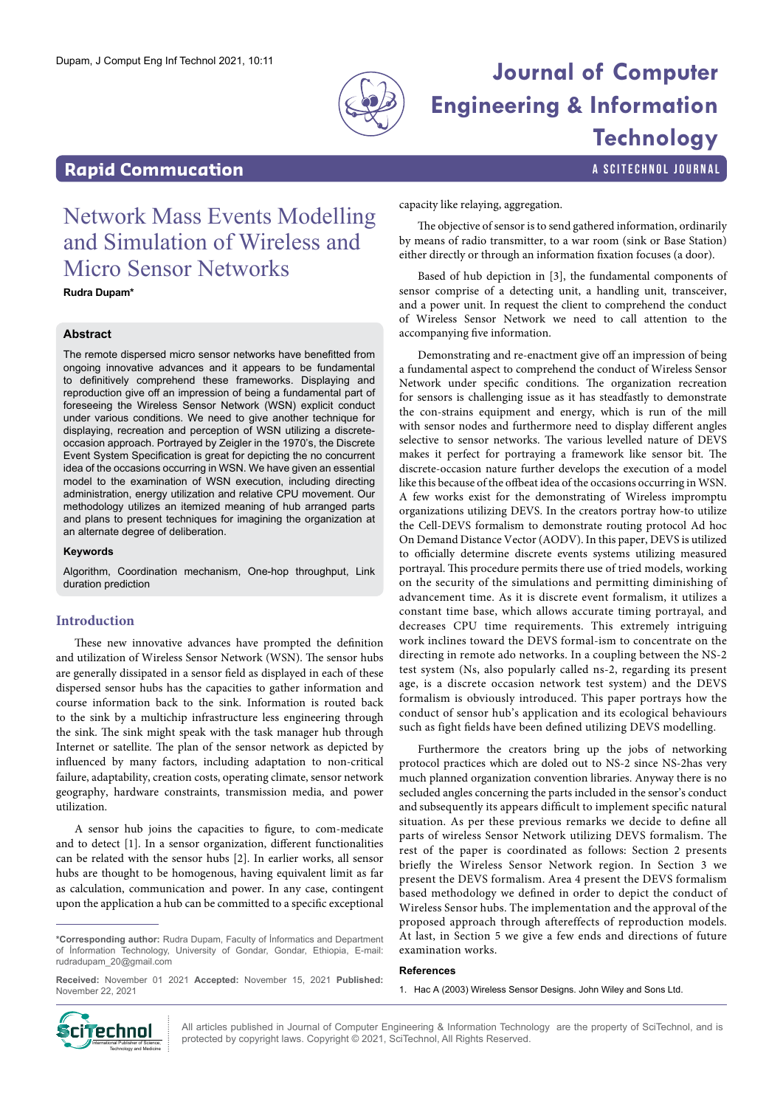

# Dupam, J Comput Eng Inf Technol 2021, 10:11 **Journal of Computer Engineering & Information Technology**

### **Rapid Commucation a Scittering Commucation a Scittering Community Community Community** A SCITECHNOL JOURNAL

## Network Mass Events Modelling and Simulation of Wireless and Micro Sensor Networks

**Rudra Dupam\***

#### **Abstract**

The remote dispersed micro sensor networks have benefitted from ongoing innovative advances and it appears to be fundamental to definitively comprehend these frameworks. Displaying and reproduction give off an impression of being a fundamental part of foreseeing the Wireless Sensor Network (WSN) explicit conduct under various conditions. We need to give another technique for displaying, recreation and perception of WSN utilizing a discreteoccasion approach. Portrayed by Zeigler in the 1970's, the Discrete Event System Specification is great for depicting the no concurrent idea of the occasions occurring in WSN. We have given an essential model to the examination of WSN execution, including directing administration, energy utilization and relative CPU movement. Our methodology utilizes an itemized meaning of hub arranged parts and plans to present techniques for imagining the organization at an alternate degree of deliberation.

#### **Keywords**

Algorithm, Coordination mechanism, One-hop throughput, Link duration prediction

#### **Introduction**

These new innovative advances have prompted the definition and utilization of Wireless Sensor Network (WSN). The sensor hubs are generally dissipated in a sensor field as displayed in each of these dispersed sensor hubs has the capacities to gather information and course information back to the sink. Information is routed back to the sink by a multichip infrastructure less engineering through the sink. The sink might speak with the task manager hub through Internet or satellite. The plan of the sensor network as depicted by influenced by many factors, including adaptation to non-critical failure, adaptability, creation costs, operating climate, sensor network geography, hardware constraints, transmission media, and power utilization.

A sensor hub joins the capacities to figure, to com-medicate and to detect [1]. In a sensor organization, different functionalities can be related with the sensor hubs [2]. In earlier works, all sensor hubs are thought to be homogenous, having equivalent limit as far as calculation, communication and power. In any case, contingent upon the application a hub can be committed to a specific exceptional

**Received:** November 01 2021 **Accepted:** November 15, 2021 **Published:** November 22, 2021

capacity like relaying, aggregation.

The objective of sensor is to send gathered information, ordinarily by means of radio transmitter, to a war room (sink or Base Station) either directly or through an information fixation focuses (a door).

Based of hub depiction in [3], the fundamental components of sensor comprise of a detecting unit, a handling unit, transceiver, and a power unit. In request the client to comprehend the conduct of Wireless Sensor Network we need to call attention to the accompanying five information.

Demonstrating and re-enactment give off an impression of being a fundamental aspect to comprehend the conduct of Wireless Sensor Network under specific conditions. The organization recreation for sensors is challenging issue as it has steadfastly to demonstrate the con-strains equipment and energy, which is run of the mill with sensor nodes and furthermore need to display different angles selective to sensor networks. The various levelled nature of DEVS makes it perfect for portraying a framework like sensor bit. The discrete-occasion nature further develops the execution of a model like this because of the offbeat idea of the occasions occurring in WSN. A few works exist for the demonstrating of Wireless impromptu organizations utilizing DEVS. In the creators portray how-to utilize the Cell-DEVS formalism to demonstrate routing protocol Ad hoc On Demand Distance Vector (AODV). In this paper, DEVS is utilized to officially determine discrete events systems utilizing measured portrayal. This procedure permits there use of tried models, working on the security of the simulations and permitting diminishing of advancement time. As it is discrete event formalism, it utilizes a constant time base, which allows accurate timing portrayal, and decreases CPU time requirements. This extremely intriguing work inclines toward the DEVS formal-ism to concentrate on the directing in remote ado networks. In a coupling between the NS-2 test system (Ns, also popularly called ns-2, regarding its present age, is a discrete occasion network test system) and the DEVS formalism is obviously introduced. This paper portrays how the conduct of sensor hub's application and its ecological behaviours such as fight fields have been defined utilizing DEVS modelling.

Furthermore the creators bring up the jobs of networking protocol practices which are doled out to NS-2 since NS-2has very much planned organization convention libraries. Anyway there is no secluded angles concerning the parts included in the sensor's conduct and subsequently its appears difficult to implement specific natural situation. As per these previous remarks we decide to define all parts of wireless Sensor Network utilizing DEVS formalism. The rest of the paper is coordinated as follows: Section 2 presents briefly the Wireless Sensor Network region. In Section 3 we present the DEVS formalism. Area 4 present the DEVS formalism based methodology we defined in order to depict the conduct of Wireless Sensor hubs. The implementation and the approval of the proposed approach through aftereffects of reproduction models. At last, in Section 5 we give a few ends and directions of future examination works.

#### **References**

1. Hac A (2003) Wireless Sensor Designs. John Wiley and Sons Ltd.



All articles published in Journal of Computer Engineering & Information Technology are the property of SciTechnol, and is **protect in the Chines** all articles published in Journal of Computer Engineering & Information Technol, All Rights Reserved.<br>International Publisher of Science, Science, All Rights Reserved.

**<sup>\*</sup>Corresponding author:** Rudra Dupam, Faculty of İnformatics and Department of İnformation Technology, University of Gondar, Gondar, Ethiopia, E-mail: [rudradupam\\_20@gmail.com](mailto:rudradupam_20@gmail.com)